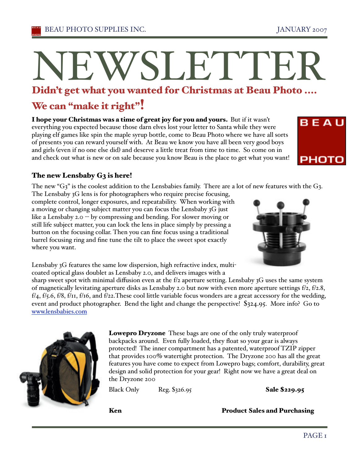# N<br>Didn't c EW SLETTER

### Didn 't get what y ou want ed for Christmas at Beau Phot o ....

# We can "make it right"!

I hope your Christmas was a time of great joy for you and yours. But if it wasn't everything you expected because those darn elves lost your letter to Santa while they were playing elf games like spin the maple syrup bottle, come to Beau Photo where we have all sorts of presents you can reward yourself with. At Beau we know you have all been very good boys and girls (even if no one else did) and deserve a little treat from time to time. So come on in and check out what is new or on sale because you know Beau is the place to get what you want!



# The new Lensbaby G3 is here!

The new "G3" is the coolest addition to the Lensbabies family. There are a lot of new features with the G3.

The Lensbaby 3G lens is for photographers who require precise focusing, complete control, longer exposures, and repeatability. When working with a moving or changing subject matter you can focus the Lensbaby 3G just like a Lensbaby 2.0 -- by compressing and bending. For slower moving or still life subject matter, you can lock the lens in place simply by pressing a button on the focusing collar. Then you can fine focus using a traditional barrel focusing ring and fine tune the tilt to place the sweet spot exactly where you want.



Lensbaby 3G features the same low dispersion, high refractive index, multicoated optical glass doublet as Lensbaby 2.0, and delivers images with a

sharp sweet spot with minimal diffusion even at the f/2 aperture setting. Lensbaby 3G uses the same system of magnetically levitating aperture disks as Lensbaby 2.0 but now with even more aperture settings f/2, f/2.8, f/4, f/5.6, f/8, f/11, f/16, and f/22.These cool little variable focus wonders are a great accessory for the wedding, event and product photographer. Bend the light and change the perspective! \$324.95. More info? Go to www.lensbabies.com



Lowepro Dryzone These bags are one of the only truly waterproof backpacks around. Even fully loaded, they float so your gear is always protected! The inner compartment has a patented, waterproof TZIP zipper that provides 100% watertight protection. The Dryzone 200 has all the great features you have come to expect from Lowepro bags; comfort, durability, great design and solid protection for your gear! Right now we have a great deal on the Dryzone 200

Black Only Reg. \$326.95 Sale \$229.95

Ken **Product Sales and Purchasing**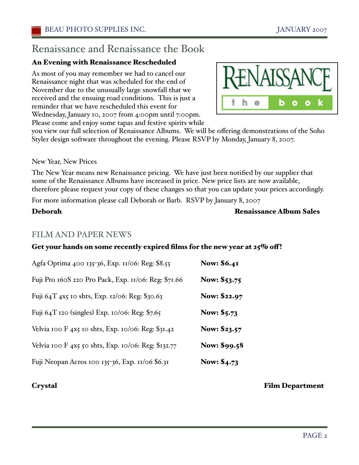# Renaissance and Renaissance the Book

# An Evening with Renaissance Rescheduled

As most of you may remember we had to cancel our Renaissance night that was scheduled for the end of November due to the unusually large snowfall that we received and the ensuing road conditions. This is just a reminder that we have rescheduled this event for Wednesday, January 10, 2007 from 4:00pm until 7:00pm. Please come and enjoy some tapas and festive spirits while



you view our full selection of Renaissance Albums. We will be offering demonstrations of the Soho Styler design software throughout the evening. Please RSVP by Monday, January 8, 2007.

## New Year, New Prices

The New Year means new Renaissance pricing. We have just been notified by our supplier that some of the Renaissance Albums have increased in price. New price lists are now available, therefore please request your copy of these changes so that you can update your prices accordingly.

For more information please call Deborah or Barb. RSVP by January 8, 2007

# Deborah Renaissance Album Sales

# FILM AND PAPER NEWS

# Get your hands on some recently expired films for the new year at 25% off!

| Agfa Optima 400 135-36, Exp. 11/06: Reg: \$8.55      | <b>Now: \$6.41</b>  |
|------------------------------------------------------|---------------------|
| Fuji Pro 160S 220 Pro Pack, Exp. 11/06: Reg: \$71.66 | Now: \$53.75        |
| Fuji 64T 4x5 10 shts, Exp. 12/06: Reg: \$30.63       | <b>Now: \$22.97</b> |
| Fuji 64T 120 (singles) Exp. 10/06: Reg: \$7.65       | Now: \$5.73         |
| Velvia 100 F 4x5 10 shts, Exp. 10/06: Reg: \$31.42   | Now: \$23.57        |
| Velvia 100 F 4x5 50 shts, Exp. 10/06: Reg: \$132.77  | Now: \$99.58        |
| Fuji Neopan Acros 100 135-36, Exp. 11/06 \$6.31      | <b>Now: \$4.73</b>  |

Crystal Film Department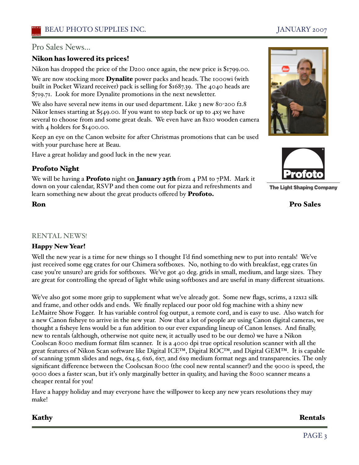# Pro Sales News...

## Nikon has lowered its prices!

Nikon has dropped the price of the D200 once again, the new price is \$1799.00.

We are now stocking more **Dynalite** power packs and heads. The 1000wi (with built in Pocket Wizard receiver) pack is selling for \$1687.39. The 4040 heads are \$719.71. Look for more Dynalite promotions in the next newsletter.

We also have several new items in our used department. Like 3 new 80-200 f2.8 Nikor lenses starting at \$549.00. If you want to step back or up to 4x5 we have several to choose from and some great deals. We even have an 8x10 wooden camera with 4 holders for \$1400.00.

Keep an eye on the Canon website for after Christmas promotions that can be used with your purchase here at Beau.

Have a great holiday and good luck in the new year.

# Profoto Night

We will be having a **Profoto** night on **January 25th** from 4 PM to  $7PM$ . Mark it down on your calendar, RSVP and then come out for pizza and refreshments and learn something new about the great products offered by Profoto.

### RENTAL NEWS!

### Happy New Year!

Well the new year is a time for new things so I thought I'd find something new to put into rentals! We've just received some egg crates for our Chimera softboxes. No, nothing to do with breakfast, egg crates (in case you're unsure) are grids for softboxes. We've got 40 deg. grids in small, medium, and large sizes. They are great for controlling the spread of light while using softboxes and are useful in many different situations.

We've also got some more grip to supplement what we've already got. Some new flags, scrims, a 12x12 silk and frame, and other odds and ends. We finally replaced our poor old fog machine with a shiny new LeMaitre Show Fogger. It has variable control fog output, a remote cord, and is easy to use. Also watch for a new Canon fisheye to arrive in the new year. Now that a lot of people are using Canon digital cameras, we thought a fisheye lens would be a fun addition to our ever expanding lineup of Canon lenses. And finally, new to rentals (although, otherwise not quite new, it actually used to be our demo) we have a Nikon Coolscan 8000 medium format film scanner. It is a 4000 dpi true optical resolution scanner with all the great features of Nikon Scan software like Digital ICE™, Digital ROC™, and Digital GEM™. It is capable of scanning 35mm slides and negs, 6x4.5, 6x6, 6x7, and 6x9 medium format negs and transparencies. The only significant difference between the Coolscsan 8000 (the cool new rental scanner!) and the 9000 is speed, the 9000 does a faster scan, but iťs only marginally better in quality, and having the 8000 scanner means a cheaper rental for you!

Have a happy holiday and may everyone have the willpower to keep any new years resolutions they may make!

Kathy Rentals

Ron Pro Sales





**The Light Shaping Company**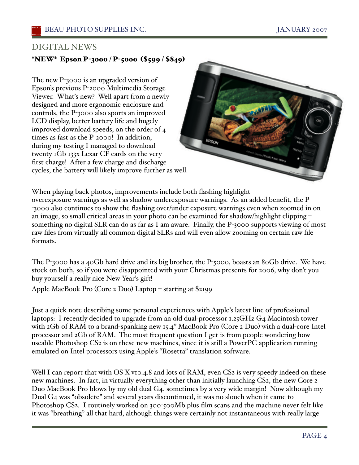# DIGITAL NEWS

# \*NEW\* Epson P-3000 / P-5000 (\$599 / \$849)

The new P-3000 is an upgraded version of Epson's previous P-2000 Multimedia Storage Viewer. Whaťs new? Well apart from a newly designed and more ergonomic enclosure and controls, the P-3000 also sports an improved LCD display, better battery life and hugely improved download speeds, on the order of 4 times as fast as the P-2000! In addition, during my testing I managed to download twenty 1Gb 133x Lexar CF cards on the very first charge! After a few charge and discharge cycles, the battery will likely improve further as well.



When playing back photos, improvements include both flashing highlight overexposure warnings as well as shadow underexposure warnings. As an added benefit, the P -3000 also continues to show the flashing over/under exposure warnings even when zoomed in on an image, so small critical areas in your photo can be examined for shadow/highlight clipping – something no digital SLR can do as far as I am aware. Finally, the P-3000 supports viewing of most raw files from virtually all common digital SLRs and will even allow zooming on certain raw file formats.

The P-3000 has a 40Gb hard drive and its big brother, the P-5000, boasts an 80Gb drive. We have stock on both, so if you were disappointed with your Christmas presents for 2006, why don't you buy yourself a really nice New Year's gift!

Apple MacBook Pro (Core 2 Duo) Laptop – starting at \$2199

Just a quick note describing some personal experiences with Apple's latest line of professional laptops: I recently decided to upgrade from an old dual-processor 1.25GHz G4 Macintosh tower with 2Gb of RAM to a brand-spanking new 15.4" MacBook Pro (Core 2 Duo) with a dual-core Intel processor and 2Gb of RAM. The most frequent question I get is from people wondering how useable Photoshop CS2 is on these new machines, since it is still a PowerPC application running emulated on Intel processors using Apple's "Rosetta" translation software.

Well I can report that with OS X v10.4.8 and lots of RAM, even CS<sub>2</sub> is very speedy indeed on these new machines. In fact, in virtually everything other than initially launching CS2, the new Core 2 Duo MacBook Pro blows by my old dual G4, sometimes by a very wide margin! Now although my Dual G4 was "obsolete" and several years discontinued, it was no slouch when it came to Photoshop CS2. I routinely worked on 300-500Mb plus film scans and the machine never felt like it was "breathing" all that hard, although things were certainly not instantaneous with really large